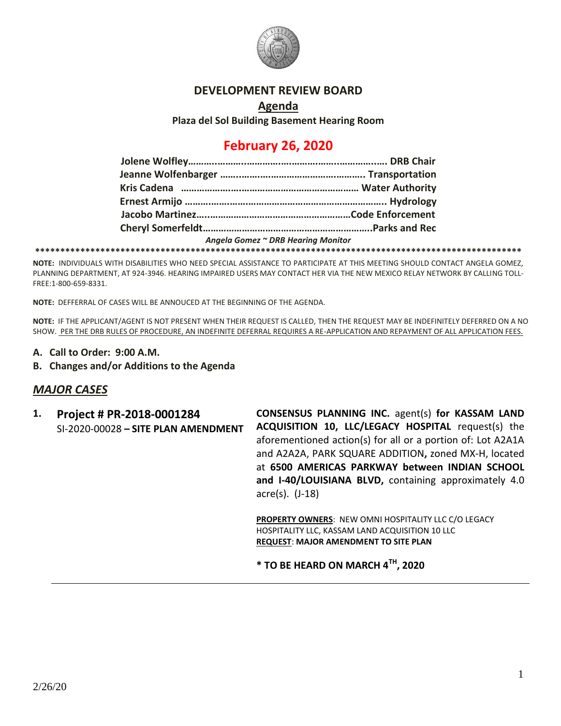

### **DEVELOPMENT REVIEW BOARD**

**Agenda Plaza del Sol Building Basement Hearing Room**

# **February 26, 2020**

| Angela Gomez ~ DRB Hearing Monitor |  |
|------------------------------------|--|
|                                    |  |

**NOTE:** INDIVIDUALS WITH DISABILITIES WHO NEED SPECIAL ASSISTANCE TO PARTICIPATE AT THIS MEETING SHOULD CONTACT ANGELA GOMEZ, PLANNING DEPARTMENT, AT 924-3946. HEARING IMPAIRED USERS MAY CONTACT HER VIA THE NEW MEXICO RELAY NETWORK BY CALLING TOLL-FREE:1-800-659-8331.

**NOTE:** DEFFERRAL OF CASES WILL BE ANNOUCED AT THE BEGINNING OF THE AGENDA.

**NOTE:** IF THE APPLICANT/AGENT IS NOT PRESENT WHEN THEIR REQUEST IS CALLED, THEN THE REQUEST MAY BE INDEFINITELY DEFERRED ON A NO SHOW. PER THE DRB RULES OF PROCEDURE, AN INDEFINITE DEFERRAL REQUIRES A RE-APPLICATION AND REPAYMENT OF ALL APPLICATION FEES.

- **A. Call to Order: 9:00 A.M.**
- **B. Changes and/or Additions to the Agenda**

### *MAJOR CASES*

**1. Project # PR-2018-0001284** SI-2020-00028 **– SITE PLAN AMENDMENT** **CONSENSUS PLANNING INC.** agent(s) **for KASSAM LAND ACQUISITION 10, LLC/LEGACY HOSPITAL** request(s) the aforementioned action(s) for all or a portion of: Lot A2A1A and A2A2A, PARK SQUARE ADDITION**,** zoned MX-H, located at **6500 AMERICAS PARKWAY between INDIAN SCHOOL and I-40/LOUISIANA BLVD,** containing approximately 4.0 acre(s). (J-18)

**PROPERTY OWNERS**: NEW OMNI HOSPITALITY LLC C/O LEGACY HOSPITALITY LLC, KASSAM LAND ACQUISITION 10 LLC **REQUEST**: **MAJOR AMENDMENT TO SITE PLAN** 

**\* TO BE HEARD ON MARCH 4TH , 2020**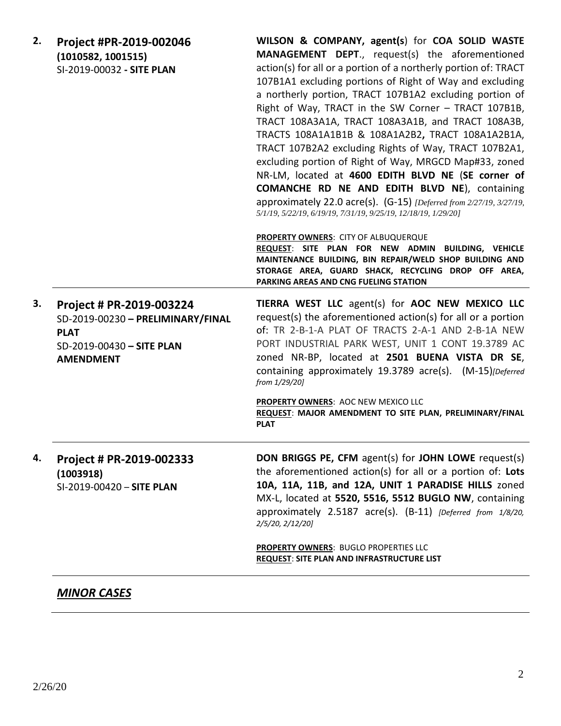| 2. | Project #PR-2019-002046<br>(1010582, 1001515)<br>SI-2019-00032 - SITE PLAN                                                    | WILSON & COMPANY, agent(s) for COA SOLID WASTE<br>MANAGEMENT DEPT., request(s) the aforementioned<br>action(s) for all or a portion of a northerly portion of: TRACT<br>107B1A1 excluding portions of Right of Way and excluding<br>a northerly portion, TRACT 107B1A2 excluding portion of<br>Right of Way, TRACT in the SW Corner - TRACT 107B1B,<br>TRACT 108A3A1A, TRACT 108A3A1B, and TRACT 108A3B,<br>TRACTS 108A1A1B1B & 108A1A2B2, TRACT 108A1A2B1A,<br>TRACT 107B2A2 excluding Rights of Way, TRACT 107B2A1,<br>excluding portion of Right of Way, MRGCD Map#33, zoned<br>NR-LM, located at 4600 EDITH BLVD NE (SE corner of<br><b>COMANCHE RD NE AND EDITH BLVD NE), containing</b><br>approximately 22.0 acre(s). (G-15) [Deferred from 2/27/19, 3/27/19,<br>5/1/19, 5/22/19, 6/19/19, 7/31/19, 9/25/19, 12/18/19, 1/29/20]<br>PROPERTY OWNERS: CITY OF ALBUQUERQUE<br>REQUEST: SITE PLAN FOR NEW ADMIN BUILDING, VEHICLE<br>MAINTENANCE BUILDING, BIN REPAIR/WELD SHOP BUILDING AND<br>STORAGE AREA, GUARD SHACK, RECYCLING DROP OFF AREA,<br>PARKING AREAS AND CNG FUELING STATION |
|----|-------------------------------------------------------------------------------------------------------------------------------|-------------------------------------------------------------------------------------------------------------------------------------------------------------------------------------------------------------------------------------------------------------------------------------------------------------------------------------------------------------------------------------------------------------------------------------------------------------------------------------------------------------------------------------------------------------------------------------------------------------------------------------------------------------------------------------------------------------------------------------------------------------------------------------------------------------------------------------------------------------------------------------------------------------------------------------------------------------------------------------------------------------------------------------------------------------------------------------------------|
| 3. | Project # PR-2019-003224<br>SD-2019-00230 - PRELIMINARY/FINAL<br><b>PLAT</b><br>SD-2019-00430 - SITE PLAN<br><b>AMENDMENT</b> | TIERRA WEST LLC agent(s) for AOC NEW MEXICO LLC<br>request(s) the aforementioned action(s) for all or a portion<br>of: TR 2-B-1-A PLAT OF TRACTS 2-A-1 AND 2-B-1A NEW<br>PORT INDUSTRIAL PARK WEST, UNIT 1 CONT 19.3789 AC<br>zoned NR-BP, located at 2501 BUENA VISTA DR SE,<br>containing approximately 19.3789 acre(s). (M-15)[Deferred<br>from 1/29/20]<br>PROPERTY OWNERS: AOC NEW MEXICO LLC<br>REQUEST: MAJOR AMENDMENT TO SITE PLAN, PRELIMINARY/FINAL<br><b>PLAT</b>                                                                                                                                                                                                                                                                                                                                                                                                                                                                                                                                                                                                                   |
| 4. | Project # PR-2019-002333<br>(1003918)<br>SI-2019-00420 - SITE PLAN                                                            | DON BRIGGS PE, CFM agent(s) for JOHN LOWE request(s)<br>the aforementioned action(s) for all or a portion of: Lots<br>10A, 11A, 11B, and 12A, UNIT 1 PARADISE HILLS zoned<br>MX-L, located at 5520, 5516, 5512 BUGLO NW, containing<br>approximately 2.5187 acre(s). (B-11) [Deferred from 1/8/20,<br>2/5/20, 2/12/20]<br><b>PROPERTY OWNERS: BUGLO PROPERTIES LLC</b><br><b>REQUEST: SITE PLAN AND INFRASTRUCTURE LIST</b>                                                                                                                                                                                                                                                                                                                                                                                                                                                                                                                                                                                                                                                                     |

## *MINOR CASES*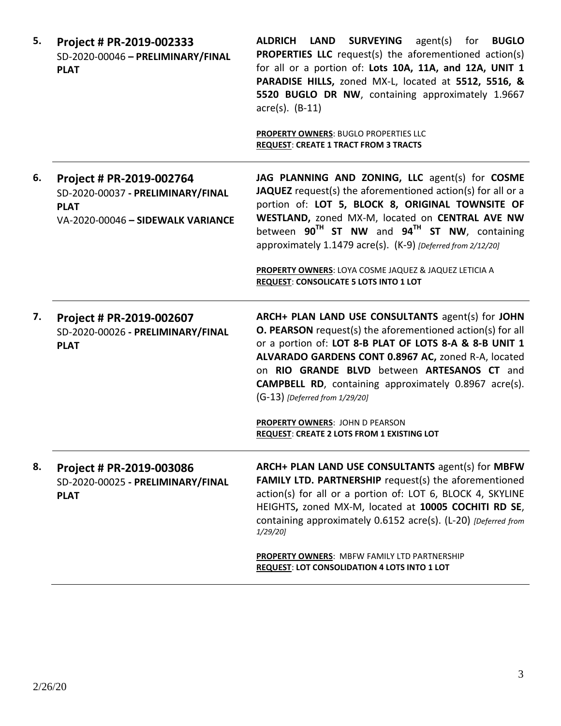| 5. | Project # PR-2019-002333<br>SD-2020-00046 - PRELIMINARY/FINAL<br><b>PLAT</b>                                      | ALDRICH LAND SURVEYING<br>agent(s) for<br><b>BUGLO</b><br><b>PROPERTIES LLC</b> request(s) the aforementioned action(s)<br>for all or a portion of: Lots 10A, 11A, and 12A, UNIT 1<br>PARADISE HILLS, zoned MX-L, located at 5512, 5516, &<br>5520 BUGLO DR NW, containing approximately 1.9667<br>$\arccos(5)$ . (B-11)                                                           |
|----|-------------------------------------------------------------------------------------------------------------------|------------------------------------------------------------------------------------------------------------------------------------------------------------------------------------------------------------------------------------------------------------------------------------------------------------------------------------------------------------------------------------|
|    |                                                                                                                   | <b>PROPERTY OWNERS: BUGLO PROPERTIES LLC</b><br><b>REQUEST: CREATE 1 TRACT FROM 3 TRACTS</b>                                                                                                                                                                                                                                                                                       |
| 6. | Project # PR-2019-002764<br>SD-2020-00037 - PRELIMINARY/FINAL<br><b>PLAT</b><br>VA-2020-00046 - SIDEWALK VARIANCE | JAG PLANNING AND ZONING, LLC agent(s) for COSME<br>JAQUEZ request(s) the aforementioned action(s) for all or a<br>portion of: LOT 5, BLOCK 8, ORIGINAL TOWNSITE OF<br>WESTLAND, zoned MX-M, located on CENTRAL AVE NW<br>between $90^{TH}$ ST NW and $94^{TH}$ ST NW, containing<br>approximately 1.1479 acre(s). (K-9) [Deferred from 2/12/20]                                    |
|    |                                                                                                                   | PROPERTY OWNERS: LOYA COSME JAQUEZ & JAQUEZ LETICIA A<br>REQUEST: CONSOLICATE 5 LOTS INTO 1 LOT                                                                                                                                                                                                                                                                                    |
| 7. | Project # PR-2019-002607<br>SD-2020-00026 - PRELIMINARY/FINAL<br><b>PLAT</b>                                      | ARCH+ PLAN LAND USE CONSULTANTS agent(s) for JOHN<br>O. PEARSON request(s) the aforementioned action(s) for all<br>or a portion of: LOT 8-B PLAT OF LOTS 8-A & 8-B UNIT 1<br>ALVARADO GARDENS CONT 0.8967 AC, zoned R-A, located<br>on RIO GRANDE BLVD between ARTESANOS CT and<br><b>CAMPBELL RD</b> , containing approximately 0.8967 acre(s).<br>(G-13) [Deferred from 1/29/20] |
|    |                                                                                                                   | <b>PROPERTY OWNERS: JOHN D PEARSON</b><br><b>REQUEST: CREATE 2 LOTS FROM 1 EXISTING LOT</b>                                                                                                                                                                                                                                                                                        |
| 8. | Project # PR-2019-003086<br>SD-2020-00025 - PRELIMINARY/FINAL<br><b>PLAT</b>                                      | ARCH+ PLAN LAND USE CONSULTANTS agent(s) for MBFW<br>FAMILY LTD. PARTNERSHIP request(s) the aforementioned<br>action(s) for all or a portion of: LOT 6, BLOCK 4, SKYLINE<br>HEIGHTS, zoned MX-M, located at 10005 COCHITI RD SE,<br>containing approximately 0.6152 acre(s). (L-20) [Deferred from<br>$1/29/20$ ]                                                                  |
|    |                                                                                                                   | PROPERTY OWNERS: MBFW FAMILY LTD PARTNERSHIP<br>REQUEST: LOT CONSOLIDATION 4 LOTS INTO 1 LOT                                                                                                                                                                                                                                                                                       |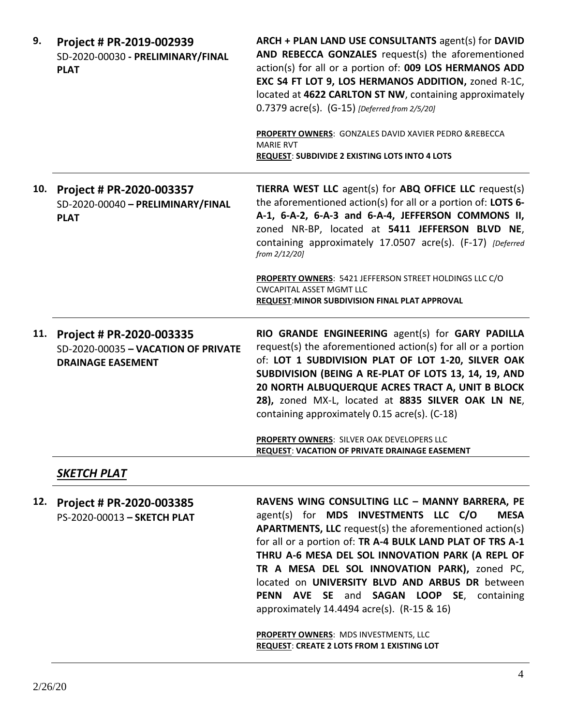| 9.  | Project # PR-2019-002939<br>SD-2020-00030 - PRELIMINARY/FINAL<br><b>PLAT</b>                | ARCH + PLAN LAND USE CONSULTANTS agent(s) for DAVID<br>AND REBECCA GONZALES request(s) the aforementioned<br>action(s) for all or a portion of: 009 LOS HERMANOS ADD<br>EXC S4 FT LOT 9, LOS HERMANOS ADDITION, zoned R-1C,<br>located at 4622 CARLTON ST NW, containing approximately<br>0.7379 acre(s). (G-15) [Deferred from 2/5/20]<br>PROPERTY OWNERS: GONZALES DAVID XAVIER PEDRO &REBECCA<br><b>MARIE RVT</b><br><b>REQUEST: SUBDIVIDE 2 EXISTING LOTS INTO 4 LOTS</b> |
|-----|---------------------------------------------------------------------------------------------|-------------------------------------------------------------------------------------------------------------------------------------------------------------------------------------------------------------------------------------------------------------------------------------------------------------------------------------------------------------------------------------------------------------------------------------------------------------------------------|
| 10. | Project # PR-2020-003357<br>SD-2020-00040 - PRELIMINARY/FINAL<br><b>PLAT</b>                | TIERRA WEST LLC agent(s) for ABQ OFFICE LLC request(s)<br>the aforementioned action(s) for all or a portion of: LOTS 6-<br>A-1, 6-A-2, 6-A-3 and 6-A-4, JEFFERSON COMMONS II,<br>zoned NR-BP, located at 5411 JEFFERSON BLVD NE,<br>containing approximately 17.0507 acre(s). (F-17) [Deferred<br>from 2/12/20]<br><b>PROPERTY OWNERS: 5421 JEFFERSON STREET HOLDINGS LLC C/O</b><br><b>CWCAPITAL ASSET MGMT LLC</b><br><b>REQUEST: MINOR SUBDIVISION FINAL PLAT APPROVAL</b> |
| 11. | Project # PR-2020-003335<br>SD-2020-00035 - VACATION OF PRIVATE<br><b>DRAINAGE EASEMENT</b> | RIO GRANDE ENGINEERING agent(s) for GARY PADILLA<br>request(s) the aforementioned action(s) for all or a portion<br>of: LOT 1 SUBDIVISION PLAT OF LOT 1-20, SILVER OAK<br>SUBDIVISION (BEING A RE-PLAT OF LOTS 13, 14, 19, AND<br>20 NORTH ALBUQUERQUE ACRES TRACT A, UNIT B BLOCK<br>28), zoned MX-L, located at 8835 SILVER OAK LN NE,                                                                                                                                      |
|     |                                                                                             | containing approximately 0.15 acre(s). (C-18)<br>PROPERTY OWNERS: SILVER OAK DEVELOPERS LLC<br><b>REQUEST: VACATION OF PRIVATE DRAINAGE EASEMENT</b>                                                                                                                                                                                                                                                                                                                          |
|     | <b>SKETCH PLAT</b>                                                                          |                                                                                                                                                                                                                                                                                                                                                                                                                                                                               |